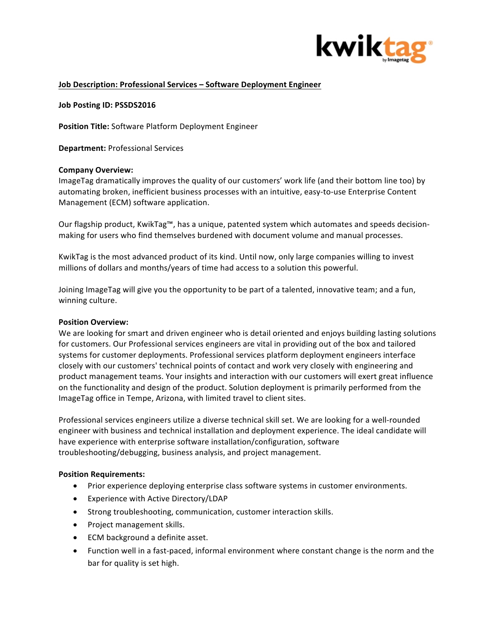

# **Job Description: Professional Services - Software Deployment Engineer**

**Job Posting ID: PSSDS2016**

**Position Title:** Software Platform Deployment Engineer

**Department: Professional Services** 

### **Company Overview:**

ImageTag dramatically improves the quality of our customers' work life (and their bottom line too) by automating broken, inefficient business processes with an intuitive, easy-to-use Enterprise Content Management (ECM) software application.

Our flagship product, KwikTag™, has a unique, patented system which automates and speeds decisionmaking for users who find themselves burdened with document volume and manual processes.

KwikTag is the most advanced product of its kind. Until now, only large companies willing to invest millions of dollars and months/years of time had access to a solution this powerful.

Joining ImageTag will give you the opportunity to be part of a talented, innovative team; and a fun, winning culture.

### **Position Overview:**

We are looking for smart and driven engineer who is detail oriented and enjoys building lasting solutions for customers. Our Professional services engineers are vital in providing out of the box and tailored systems for customer deployments. Professional services platform deployment engineers interface closely with our customers' technical points of contact and work very closely with engineering and product management teams. Your insights and interaction with our customers will exert great influence on the functionality and design of the product. Solution deployment is primarily performed from the ImageTag office in Tempe, Arizona, with limited travel to client sites.

Professional services engineers utilize a diverse technical skill set. We are looking for a well-rounded engineer with business and technical installation and deployment experience. The ideal candidate will have experience with enterprise software installation/configuration, software troubleshooting/debugging, business analysis, and project management.

#### **Position Requirements:**

- Prior experience deploying enterprise class software systems in customer environments.
- Experience with Active Directory/LDAP
- Strong troubleshooting, communication, customer interaction skills.
- Project management skills.
- ECM background a definite asset.
- Function well in a fast-paced, informal environment where constant change is the norm and the bar for quality is set high.